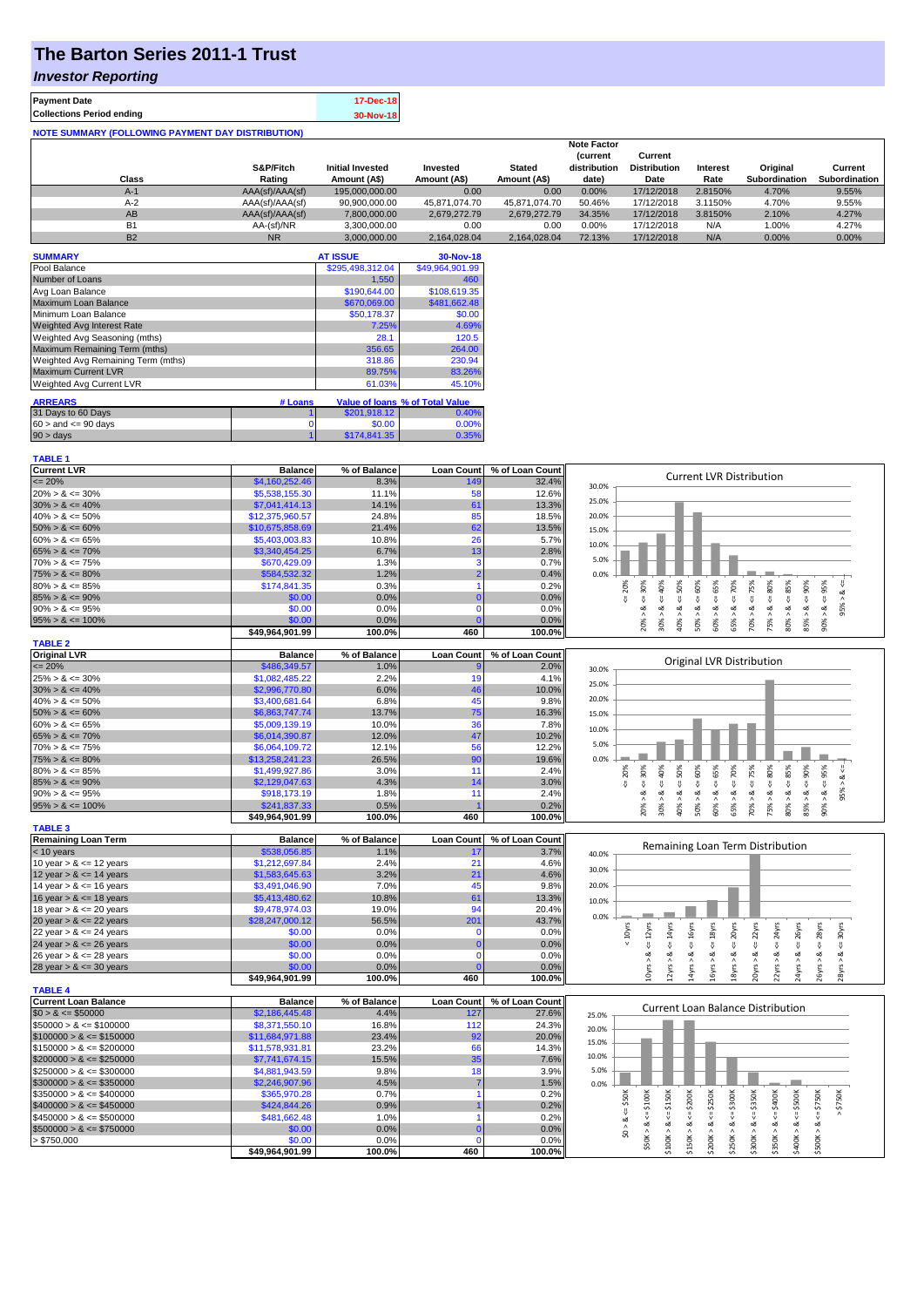# **The Barton Series 2011-1 Trust**

### *Investor Reporting*

| <b>Payment Date</b>                                      | 17-Dec-18 |
|----------------------------------------------------------|-----------|
| <b>Collections Period ending</b>                         | 30-Nov-18 |
| <b>NOTE SUMMARY (FOLLOWING PAYMENT DAY DISTRIBUTION)</b> |           |

|                |                 |                         |               |               | <b>Note Factor</b> |                     |                 |               |               |
|----------------|-----------------|-------------------------|---------------|---------------|--------------------|---------------------|-----------------|---------------|---------------|
|                |                 |                         |               |               | <b>Current</b>     | Current             |                 |               |               |
|                | S&P/Fitch       | <b>Initial Invested</b> | Invested      | <b>Stated</b> | distribution       | <b>Distribution</b> | <b>Interest</b> | Original      | Current       |
| Class          | Rating          | Amount (A\$)            | Amount (A\$)  | Amount (A\$)  | date)              | Date                | Rate            | Subordination | Subordination |
| $A-1$          | AAA(sf)/AAA(sf) | 195,000,000,00          | 0.00          | 0.00          | 0.00%              | 17/12/2018          | 2.8150%         | 4.70%         | 9.55%         |
| $A-2$          | AAA(sf)/AAA(sf) | 90,900,000.00           | 45.871.074.70 | 45.871.074.70 | 50.46%             | 17/12/2018          | 3.1150%         | 4.70%         | 9.55%         |
| AB             | AAA(sf)/AAA(sf) | 7,800,000.00            | 2.679.272.79  | 2.679.272.79  | 34.35%             | 17/12/2018          | 3.8150%         | 2.10%         | 4.27%         |
| B <sub>1</sub> | AA-(sf)/NR      | 3.300.000.00            | 0.00          | 0.00          | 0.00%              | 17/12/2018          | N/A             | 1.00%         | 4.27%         |
| <b>B2</b>      | <b>NR</b>       | 3.000.000.00            | 2.164.028.04  | 2.164.028.04  | 72.13%             | 17/12/2018          | N/A             | $0.00\%$      | 0.00%         |

| <b>SUMMARY</b>                     |         | <b>AT ISSUE</b>  | 30-Nov-18                       |
|------------------------------------|---------|------------------|---------------------------------|
| Pool Balance                       |         | \$295,498,312.04 | \$49.964.901.99                 |
| Number of Loans                    |         | 1,550            | 460                             |
| Avg Loan Balance                   |         | \$190,644.00     | \$108,619.35                    |
| Maximum Loan Balance               |         | \$670,069.00     | \$481,662.48                    |
| Minimum Loan Balance               |         | \$50,178.37      | \$0.00                          |
| <b>Weighted Avg Interest Rate</b>  |         | 7.25%            | 4.69%                           |
| Weighted Avg Seasoning (mths)      |         | 28.1             | 120.5                           |
| Maximum Remaining Term (mths)      |         | 356.65           | 264.00                          |
| Weighted Avg Remaining Term (mths) |         | 318.86           | 230.94                          |
| <b>Maximum Current LVR</b>         |         | 89.75%           | 83.26%                          |
| Weighted Avg Current LVR           |         | 61.03%           | 45.10%                          |
| <b>ARREARS</b>                     | # Loans |                  | Value of Ioans % of Total Value |
|                                    |         |                  |                                 |
| 31 Days to 60 Days                 |         | \$201,918.12     | 0.40%                           |
| $60 >$ and $\leq 90$ days          | 0       | \$0.00           | 0.00%                           |
| $90 > \text{days}$                 |         | \$174,841.35     | 0.35%                           |

| <b>TABLE 1</b>              |                 |              |                   |                 |                                                                                                                                                                                                                                                   |
|-----------------------------|-----------------|--------------|-------------------|-----------------|---------------------------------------------------------------------------------------------------------------------------------------------------------------------------------------------------------------------------------------------------|
| <b>Current LVR</b>          | <b>Balance</b>  | % of Balance | <b>Loan Count</b> | % of Loan Count |                                                                                                                                                                                                                                                   |
| $\leq$ 20%                  | \$4,160,252.46  | 8.3%         | 149               | 32.4%           | <b>Current LVR Distribution</b><br>30.0%                                                                                                                                                                                                          |
| $20\% > 8 \le 30\%$         | \$5,538,155.30  | 11.1%        | 58                | 12.6%           |                                                                                                                                                                                                                                                   |
| $30\% > 8 \le 40\%$         | \$7,041,414.13  | 14.1%        | 61                | 13.3%           | 25.0%                                                                                                                                                                                                                                             |
| $40\% > 8 \le 50\%$         | \$12,375,960.57 | 24.8%        | 85                | 18.5%           | 20.0%                                                                                                                                                                                                                                             |
| $50\% > 8 \le 60\%$         | \$10,675,858.69 | 21.4%        | 62                | 13.5%           | 15.0%                                                                                                                                                                                                                                             |
| $60\% > 8 \le 65\%$         | \$5,403,003.83  | 10.8%        | 26                | 5.7%            |                                                                                                                                                                                                                                                   |
| $65\% > 8 \le 70\%$         | \$3,340,454.25  | 6.7%         | 13                | 2.8%            | 10.0%                                                                                                                                                                                                                                             |
| $70\% > 8 \le 75\%$         | \$670,429.09    | 1.3%         | 3                 | 0.7%            | 5.0%                                                                                                                                                                                                                                              |
| $75\% > 8 \le 80\%$         | \$584,532.32    | 1.2%         |                   | 0.4%            | 0.0%                                                                                                                                                                                                                                              |
| $80\% > 8 \le 85\%$         | \$174,841.35    | 0.3%         |                   | 0.2%            | $4 - 40\%$<br>$4 = 50\%$<br>95%<br>20%<br>70%<br>75%                                                                                                                                                                                              |
| $85\% > 8 \le 90\%$         | \$0.00          | 0.0%         | $\Omega$          | 0.0%            | $8 - 30%$<br>ૐ<br>₩,<br>₹<br>V                                                                                                                                                                                                                    |
| $90\% > 8 \le 95\%$         | \$0.00          | 0.0%         | $\Omega$          | 0.0%            | 95%<br>જ<br>ż                                                                                                                                                                                                                                     |
| $95\% > 8 \le 100\%$        | \$0.00          | 0.0%         |                   | 0.0%            | $50\% > 8 \le 60\%$<br>$60\% > 8 \leq 65\%$<br>$75\% > 8 <= 80\%$<br>$80\% > 8 <= 85\%$<br>$85\% > 8 <= 90\%$<br>$70\% > 8 <$<br>$30\% > 8.$<br>$90\% > 8.$<br>40% > i<br>20% ><br>65% >                                                          |
|                             | \$49,964,901.99 | 100.0%       | 460               | 100.0%          |                                                                                                                                                                                                                                                   |
| <b>TABLE 2</b>              |                 |              |                   |                 |                                                                                                                                                                                                                                                   |
| <b>Original LVR</b>         | <b>Balance</b>  | % of Balance | <b>Loan Count</b> | % of Loan Count |                                                                                                                                                                                                                                                   |
| $\leq$ 20%                  | \$486,349.57    | 1.0%         |                   | 2.0%            | Original LVR Distribution<br>30.0%                                                                                                                                                                                                                |
| $25\% > 8 \le 30\%$         | \$1,082,485.22  | 2.2%         | 19                | 4.1%            |                                                                                                                                                                                                                                                   |
| $30\% > 8 \le 40\%$         | \$2,996,770.80  | 6.0%         | 46                | 10.0%           | 25.0%                                                                                                                                                                                                                                             |
| $40\% > 8 \le 50\%$         | \$3,400,681.64  | 6.8%         | 45                | 9.8%            | 20.0%                                                                                                                                                                                                                                             |
| $50\% > 8 \le 60\%$         | \$6,863,747.74  | 13.7%        | 75                | 16.3%           | 15.0%                                                                                                                                                                                                                                             |
| $60\% > 8 \le 65\%$         | \$5,009,139.19  | 10.0%        | 36                | 7.8%            |                                                                                                                                                                                                                                                   |
| $65\% > 8 \le 70\%$         | \$6,014,390.87  | 12.0%        | 47                | 10.2%           | 10.0%                                                                                                                                                                                                                                             |
| $70\% > 8 \le 75\%$         | \$6,064,109.72  | 12.1%        | 56                | 12.2%           | 5.0%                                                                                                                                                                                                                                              |
| $75\% > 8 \le 80\%$         | \$13,258,241.23 | 26.5%        | 90                | 19.6%           | 0.0%                                                                                                                                                                                                                                              |
| $80\% > 8 \le 85\%$         | \$1,499,927.86  | 3.0%         | 11                | 2.4%            | $4 = 90\%$<br>$4 = 60\%$<br>$4 = 75\%$<br>80%<br>95%<br>30%<br>$40\%$<br>50%<br>70%<br>20%<br>$<=$                                                                                                                                                |
| $85\% > 8 \le 90\%$         | \$2,129,047.63  | 4.3%         | 14                | 3.0%            | $4 = 65\%$<br>₩<br>₩<br>₩<br>₩<br>₩                                                                                                                                                                                                               |
| $90\% > 8 \le 95\%$         | \$918,173.19    | 1.8%         | 11                | 2.4%            | 95% ><br>ಷ<br>ಹ<br>ಷ<br>ವ<br>ಷ<br>∞<br>œ<br>ಹ<br>ಷ<br>ø                                                                                                                                                                                           |
| $95\% > 8 \le 100\%$        | \$241,837.33    | 0.5%         |                   | 0.2%            | $80\% > 8 \Leftarrow 85\%$<br>20% ><br>30% ><br>50% ><br>60% ><br>70% ><br>75% ><br>85%<br>40% ><br>65% ><br>$90\%$                                                                                                                               |
|                             | \$49,964,901.99 | 100.0%       | 460               | 100.0%          |                                                                                                                                                                                                                                                   |
| <b>TABLE 3</b>              |                 |              |                   |                 |                                                                                                                                                                                                                                                   |
| <b>Remaining Loan Term</b>  | <b>Balance</b>  | % of Balance | <b>Loan Count</b> | % of Loan Count |                                                                                                                                                                                                                                                   |
| $<$ 10 years                | \$538,056.85    | 1.1%         | 17                | 3.7%            | Remaining Loan Term Distribution<br>40.0%                                                                                                                                                                                                         |
| 10 year $> 8 \le 12$ years  | \$1,212,697.84  | 2.4%         | 21                | 4.6%            |                                                                                                                                                                                                                                                   |
| 12 year $> 8 \le 14$ years  | \$1,583,645.63  | 3.2%         | 21                | 4.6%            | 30.0%                                                                                                                                                                                                                                             |
| 14 year $> 8 \le 16$ years  | \$3,491,046.90  | 7.0%         | 45                | 9.8%            | 20.0%                                                                                                                                                                                                                                             |
| 16 year $> 8 \le 18$ years  | \$5,413,480.62  | 10.8%        | 61                | 13.3%           | 10.0%                                                                                                                                                                                                                                             |
| 18 year $> 8 \le 20$ years  | \$9,478,974.03  | 19.0%        | 94                | 20.4%           |                                                                                                                                                                                                                                                   |
| 20 year $> 8 \le 22$ years  | \$28,247,000.12 | 56.5%        | 201               | 43.7%           | 0.0%                                                                                                                                                                                                                                              |
| 22 year $> 8 \le 24$ years  | \$0.00          | 0.0%         | $\mathbf 0$       | 0.0%            | $< 10$ yrs                                                                                                                                                                                                                                        |
| 24 year $> 8 \le 26$ years  | \$0.00          | 0.0%         | $\Omega$          | 0.0%            | $\epsilon$ = 22 $\gamma$ rs<br>$\leq$ 24yrs<br>$\leq 16$ yrs<br>$\leq 18$ yrs<br>$\leq$ 20yrs<br>$\leq$ 28 $\gamma$ rs<br>$\leq$ 30 $\gamma$ rs<br>$\leq 14$ yrs<br>$\epsilon$ = 26yrs<br>$\epsilon$ = 12 $\gamma$ rs                             |
| 26 year $> 8 \le 28$ years  | \$0.00          | 0.0%         | $\Omega$          | 0.0%            | ಷ<br>ಷ<br>త<br>ಷ<br>ಷ<br>ಷ<br>ಷ<br>∞<br>ಷ                                                                                                                                                                                                         |
| 28 year $> 8 \le 30$ years  | \$0.00          | 0.0%         |                   | 0.0%            | 24yrs > 8<br>10yrs ><br>16yrs > 8<br>20yrs > 8<br>26yrs > 8<br>12yrs<br>14yrs<br>18yrs<br>22yrs ><br>28yrs                                                                                                                                        |
|                             | \$49,964,901.99 | 100.0%       | 460               | 100.0%          |                                                                                                                                                                                                                                                   |
| <b>TABLE 4</b>              |                 |              |                   |                 |                                                                                                                                                                                                                                                   |
| <b>Current Loan Balance</b> | <b>Balance</b>  | % of Balance | <b>Loan Count</b> | % of Loan Count | Current Loan Balance Distribution                                                                                                                                                                                                                 |
| $$0 > 8 \le $50000$         | \$2,186,445.48  | 4.4%         | 127               | 27.6%           | 25.0%                                                                                                                                                                                                                                             |
| $$50000 > 8 \le $100000$    | \$8,371,550.10  | 16.8%        | 112               | 24.3%           | 20.0%                                                                                                                                                                                                                                             |
| $$100000 > 8 \leq $150000$  | \$11,684,971.88 | 23.4%        | 92                | 20.0%           | 15.0%                                                                                                                                                                                                                                             |
| $$150000 > 8 \leq $200000$  | \$11,578,931.81 | 23.2%        | 66                | 14.3%           |                                                                                                                                                                                                                                                   |
| $$200000 > 8 \leq $250000$  | \$7,741,674.15  | 15.5%        | 35                | 7.6%            | 10.0%                                                                                                                                                                                                                                             |
| $$250000 > 8 \leq $300000$  | \$4,881,943.59  | 9.8%         | 18                | 3.9%            | 5.0%                                                                                                                                                                                                                                              |
| $$300000 > 8 \leq $350000$  | \$2,246,907.96  | 4.5%         |                   | 1.5%            | 0.0%                                                                                                                                                                                                                                              |
| $$350000 > 8 \leq $400000$  | \$365,970.28    | 0.7%         |                   | 0.2%            | \$50K                                                                                                                                                                                                                                             |
| $$400000 > 8 \le $450000$   | \$424,844.26    | 0.9%         |                   | 0.2%            | \$750K<br>\$250K                                                                                                                                                                                                                                  |
| $$450000 > 8 \le $500000$   | \$481,662.48    | 1.0%         |                   | 0.2%            | $$50K > 8 <= $100K$<br>$$100K > 8 <= $150K$<br>$$150K > <= $200K$$<br>$$250K > 8 <= $300K$<br>$$300K > 8 <= $350K$<br>$$350K > 8 <= $400K$<br>$$400K > <= $500K$<br>$$500K > 8 <= $750K$<br>$$0 > 8 <=$<br>$\overset{\shortparallel}{\mathsf{v}}$ |
| $$500000 > 8 \leq $750000$  | \$0.00          | 0.0%         | $\Omega$          | 0.0%            | \$200K > 8                                                                                                                                                                                                                                        |
| > \$750,000                 | \$0.00          | 0.0%         | $\Omega$          | 0.0%            |                                                                                                                                                                                                                                                   |
|                             | \$49,964,901.99 | 100.0%       | 460               | 100.0%          |                                                                                                                                                                                                                                                   |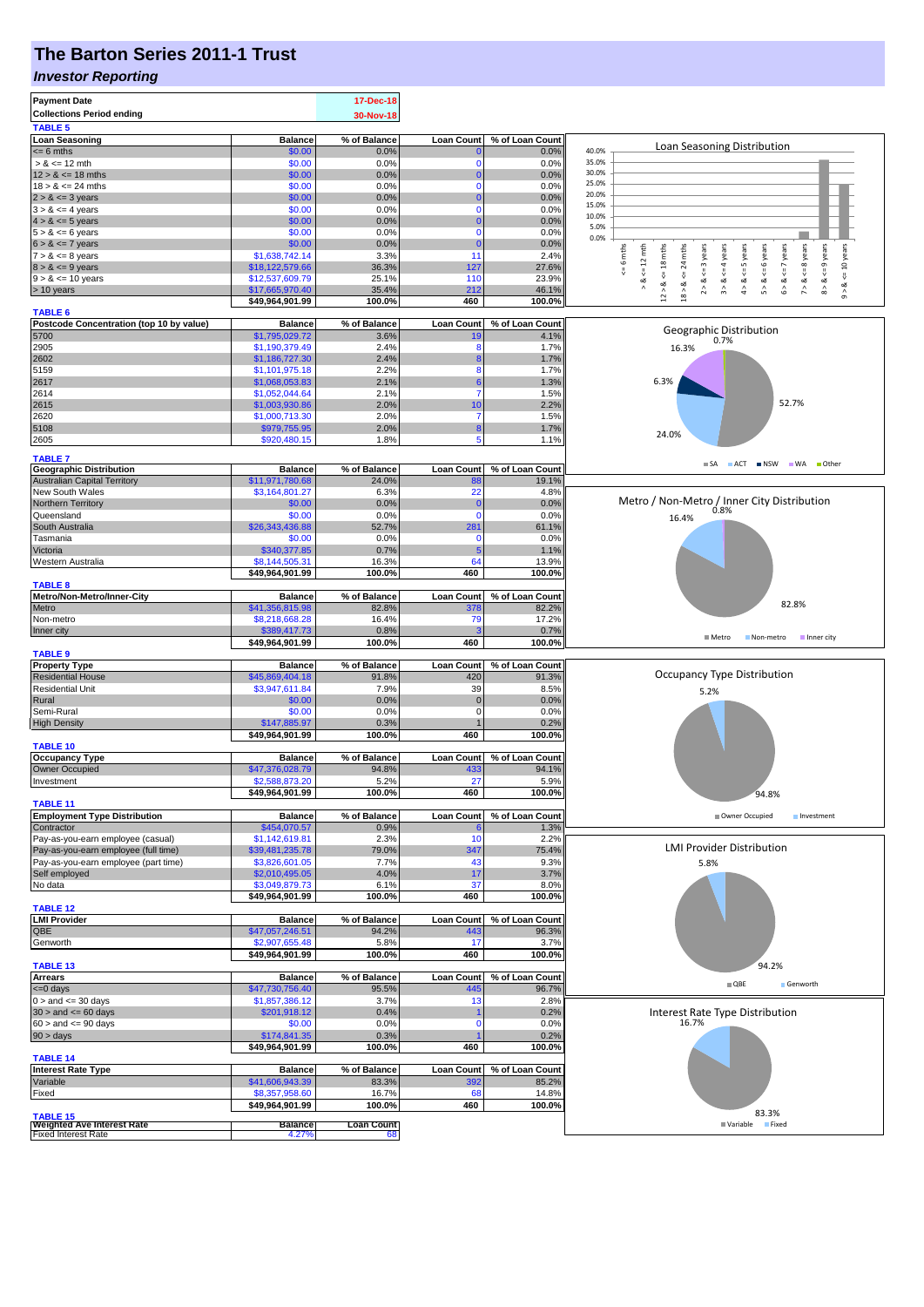## **The Barton Series 2011-1 Trust**

#### *Investor Reporting*

| <b>Payment Date</b><br><b>Collections Period ending</b><br><b>TABLE 5</b> |                                    | 17-Dec-18<br>30-Nov-18      |                   |                 |                                                                                                    |
|---------------------------------------------------------------------------|------------------------------------|-----------------------------|-------------------|-----------------|----------------------------------------------------------------------------------------------------|
| <b>Loan Seasoning</b>                                                     | <b>Balance</b>                     | % of Balance                | <b>Loan Count</b> | % of Loan Count |                                                                                                    |
| $= 6$ mths                                                                | \$0.00                             | 0.0%                        |                   | 0.0%            | Loan Seasoning Distribution<br>40.0%                                                               |
| $> 8 \le 12$ mth                                                          | \$0.00                             | 0.0%                        | 0                 | 0.0%            | 35.0%                                                                                              |
| $12 > 8 \le 18$ mths                                                      | \$0.00                             | 0.0%                        | $\bf{0}$          | 0.0%            | 30.0%                                                                                              |
| $18 > 8 \le 24$ mths                                                      | \$0.00                             | 0.0%                        | 0                 | 0.0%            | 25.0%                                                                                              |
| $2 > 8 \le 3$ years                                                       | \$0.00                             | 0.0%                        | $\Omega$          | 0.0%            | 20.0%                                                                                              |
| $3 > 8 \le 4$ years                                                       | \$0.00                             | 0.0%                        | $\Omega$          | 0.0%            | 15.0%                                                                                              |
| $4 > 8 \le 5$ years                                                       | \$0.00                             | 0.0%                        | $\bf{0}$          | 0.0%            | 10.0%<br>5.0%                                                                                      |
| $5 > 8 \le 6$ years                                                       | \$0.00                             | 0.0%                        | $\mathbf 0$       | 0.0%            | 0.0%                                                                                               |
| $6 > 8 \le 7$ years                                                       | \$0.00                             | 0.0%                        | $\mathbf 0$       | 0.0%            | $\leq$ 8 years<br>$\leq$ 9 years<br>mths                                                           |
| $7 > 8 \le 8$ years                                                       | \$1,638,742.14                     | 3.3%                        | 11                | 2.4%            | 10 years<br>$\leq$ 6 mths<br>$k = 12$ mth<br>$\le$ = 6 years<br>$\leq$ = 4 years<br>24             |
| $8 > 8 \le 9$ years                                                       | \$18,122,579.66                    | 36.3%                       | 127               | 27.6%           | $6 > 8$ <= 7 years<br>$12 > 8$ <= 18 mths<br>$2 > 8 < = 3$ years<br>$4 > 8 \leq 5$ years<br>₩<br>₹ |
| $9 > 8 \le 10$ years                                                      | \$12,537,609.79                    | 25.1%                       | 110               | 23.9%           | $8 - 8$<br>3 > 8<br>$5 > 8$ .<br>ઌ<br>7 > 8<br>ಷ<br>$9 - 8$                                        |
| > 10 years                                                                | \$17,665,970.40<br>\$49,964,901.99 | 35.4%<br>100.0%             | 212<br>460        | 46.1%<br>100.0% | $18 >$                                                                                             |
| <b>TABLE 6</b>                                                            |                                    |                             |                   |                 |                                                                                                    |
| Postcode Concentration (top 10 by value)                                  | <b>Balance</b>                     | % of Balance                | <b>Loan Count</b> | % of Loan Count |                                                                                                    |
| 5700                                                                      | \$1,795,029.72                     | 3.6%                        | 19                | 4.1%            | Geographic Distribution<br>0.7%                                                                    |
| 2905                                                                      | \$1,190,379.49                     | 2.4%                        | 8                 | 1.7%            | 16.3%                                                                                              |
| 2602                                                                      | \$1,186,727.30                     | 2.4%                        | 8                 | 1.7%            |                                                                                                    |
| 5159                                                                      | \$1,101,975.18                     | 2.2%                        | 8                 | 1.7%            |                                                                                                    |
| 2617                                                                      | \$1,068,053.83                     | 2.1%                        | 6                 | 1.3%            | 6.3%                                                                                               |
| 2614                                                                      | \$1,052,044.64                     | 2.1%                        | 7                 | 1.5%            |                                                                                                    |
| 2615                                                                      | \$1,003,930.86                     | 2.0%                        | 10                | 2.2%            | 52.7%                                                                                              |
| 2620                                                                      | \$1,000,713.30                     | 2.0%                        | 7                 | 1.5%            |                                                                                                    |
| 5108                                                                      | \$979,755.95                       | 2.0%                        | 8                 | 1.7%            | 24.0%                                                                                              |
| 2605                                                                      | \$920,480.15                       | 1.8%                        | 5                 | 1.1%            |                                                                                                    |
| <b>TABLE 7</b>                                                            |                                    |                             |                   |                 |                                                                                                    |
| <b>Geographic Distribution</b>                                            | <b>Balance</b>                     | % of Balance                | <b>Loan Count</b> | % of Loan Count | SA ACT INSW WA Other                                                                               |
| Australian Capital Territory                                              | \$11,971,780.68                    | 24.0%                       | 88                | 19.1%           |                                                                                                    |
| New South Wales                                                           | \$3,164,801.27                     | 6.3%                        | 22                | 4.8%            |                                                                                                    |
| Northern Territory                                                        | \$0.00                             | 0.0%                        | C                 | 0.0%            | Metro / Non-Metro / Inner City Distribution                                                        |
| Queensland                                                                | \$0.00                             | 0.0%                        | $\Omega$          | 0.0%            | 16.4%                                                                                              |
| South Australia                                                           | \$26,343,436.88                    | 52.7%                       | 281               | 61.1%           |                                                                                                    |
| Tasmania                                                                  | \$0.00                             | 0.0%                        | $\Omega$          | 0.0%            |                                                                                                    |
| Victoria<br>Western Australia                                             | \$340,377.85<br>\$8,144,505.31     | 0.7%<br>16.3%               | 5<br>64           | 1.1%<br>13.9%   |                                                                                                    |
|                                                                           | \$49,964,901.99                    | 100.0%                      | 460               | 100.0%          |                                                                                                    |
| <b>TABLE 8</b>                                                            |                                    |                             |                   |                 |                                                                                                    |
| Metro/Non-Metro/Inner-City                                                | <b>Balance</b>                     | % of Balance                | <b>Loan Count</b> | % of Loan Count |                                                                                                    |
| Metro                                                                     | \$41,356,815.98                    | 82.8%                       | 378               | 82.2%           | 82.8%                                                                                              |
| Non-metro                                                                 | \$8,218,668.28                     | 16.4%                       | 79                | 17.2%           |                                                                                                    |
| Inner city                                                                | \$389,417.73                       | 0.8%                        |                   | 0.7%            | ■ Metro                                                                                            |
|                                                                           | \$49,964,901.99                    | 100.0%                      | 460               | 100.0%          | Non-metro<br>Inner city                                                                            |
| <b>TABLE 9</b>                                                            |                                    |                             |                   |                 |                                                                                                    |
| <b>Property Type</b>                                                      | <b>Balance</b>                     | % of Balance                | <b>Loan Count</b> | % of Loan Count | Occupancy Type Distribution                                                                        |
| <b>Residential House</b>                                                  | \$45,869,404.18                    | 91.8%                       | 420               | 91.3%           |                                                                                                    |
| <b>Residential Unit</b>                                                   | \$3,947,611.84                     | 7.9%                        | 39                | 8.5%            | 5.2%                                                                                               |
| Rural<br>Semi-Rural                                                       | \$0.00<br>\$0.00                   | 0.0%<br>0.0%                | $\pmb{0}$<br>0    | 0.0%<br>0.0%    |                                                                                                    |
| <b>High Density</b>                                                       | \$147,885.97                       | 0.3%                        |                   | 0.2%            |                                                                                                    |
|                                                                           | \$49,964,901.99                    | 100.0%                      | 460               | 100.0%          |                                                                                                    |
| <b>TABLE 10</b>                                                           |                                    |                             |                   |                 |                                                                                                    |
| <b>Occupancy Type</b>                                                     | <b>Balance</b>                     | % of Balance                | <b>Loan Count</b> | % of Loan Count |                                                                                                    |
| Owner Occupied                                                            | \$47,376,028.79                    | 94.8%                       | 433               | 94.1%           |                                                                                                    |
| Investment                                                                | \$2,588,873,20                     | 5.2%                        | 27                | 5.9%            |                                                                                                    |
|                                                                           | \$49,964,901.99                    | 100.0%                      | 460               | 100.0%          | 94.8%                                                                                              |
| <b>TABLE 11</b>                                                           |                                    |                             |                   |                 |                                                                                                    |
| <b>Employment Type Distribution</b>                                       | <b>Balance</b>                     | % of Balance                | <b>Loan Count</b> | % of Loan Count | Owner Occupied<br>Investment                                                                       |
| Contractor                                                                | \$454,070.57                       | 0.9%                        |                   | 1.3%            |                                                                                                    |
| Pay-as-you-earn employee (casual)                                         | \$1,142,619.81                     | 2.3%                        | 10                | 2.2%            | <b>LMI Provider Distribution</b>                                                                   |
| Pay-as-you-earn employee (full time)                                      | \$39,481,235.78                    | 79.0%                       | 347               | 75.4%           |                                                                                                    |
| Pay-as-you-earn employee (part time)                                      | \$3,826,601.05                     | 7.7%                        | 43                | 9.3%            | 5.8%                                                                                               |
| Self employed                                                             | \$2,010,495.05                     | 4.0%                        | 17                | 3.7%            |                                                                                                    |
| No data                                                                   | \$3,049,879.73<br>\$49,964,901.99  | 6.1%<br>100.0%              | 37<br>460         | 8.0%<br>100.0%  |                                                                                                    |
| <b>TABLE 12</b>                                                           |                                    |                             |                   |                 |                                                                                                    |
| <b>LMI Provider</b>                                                       | <b>Balance</b>                     | % of Balance                | <b>Loan Count</b> | % of Loan Count |                                                                                                    |
| QBE                                                                       | \$47,057,246.51                    | 94.2%                       | 443               | 96.3%           |                                                                                                    |
| Genworth                                                                  | \$2,907,655.48                     | 5.8%                        | -17               | 3.7%            |                                                                                                    |
|                                                                           | \$49,964,901.99                    | 100.0%                      | 460               | 100.0%          |                                                                                                    |
| <b>TABLE 13</b>                                                           |                                    |                             |                   |                 | 94.2%                                                                                              |
| <b>Arrears</b>                                                            | <b>Balance</b>                     | % of Balance                | <b>Loan Count</b> | % of Loan Count | $\blacksquare$ QBE<br>Genworth                                                                     |
| $= 0$ days                                                                | \$47,730,756.40                    | 95.5%                       | 445               | 96.7%           |                                                                                                    |
| $0 >$ and $\leq$ 30 days                                                  |                                    |                             | 13                | 2.8%            |                                                                                                    |
| $30 >$ and $\leq 60$ days                                                 | \$1,857,386.12                     | 3.7%                        |                   |                 |                                                                                                    |
| $60 >$ and $\leq 90$ days                                                 | \$201,918.12                       | 0.4%                        |                   | 0.2%            | Interest Rate Type Distribution                                                                    |
| $90 > \text{days}$                                                        | \$0.00                             | 0.0%                        | n                 | 0.0%            | 16.7%                                                                                              |
|                                                                           | \$174,841.35                       | 0.3%                        |                   | 0.2%            |                                                                                                    |
|                                                                           | \$49,964,901.99                    | 100.0%                      | 460               | 100.0%          |                                                                                                    |
| <b>TABLE 14</b>                                                           |                                    |                             |                   |                 |                                                                                                    |
| <b>Interest Rate Type</b>                                                 | <b>Balance</b>                     | % of Balance                | <b>Loan Count</b> | % of Loan Count |                                                                                                    |
| Variable                                                                  | \$41,606,943.39                    | 83.3%                       | 392<br>68         | 85.2%           |                                                                                                    |
| Fixed                                                                     | \$8,357,958.60                     | 16.7%                       |                   | 14.8%           |                                                                                                    |
| <b>TABLE 15</b><br><b>Weighted Ave Interest Rate</b>                      | \$49,964,901.99<br><b>Balance</b>  | 100.0%<br><b>Loan Count</b> | 460               | 100.0%          | 83.3%<br>Variable Fixed                                                                            |